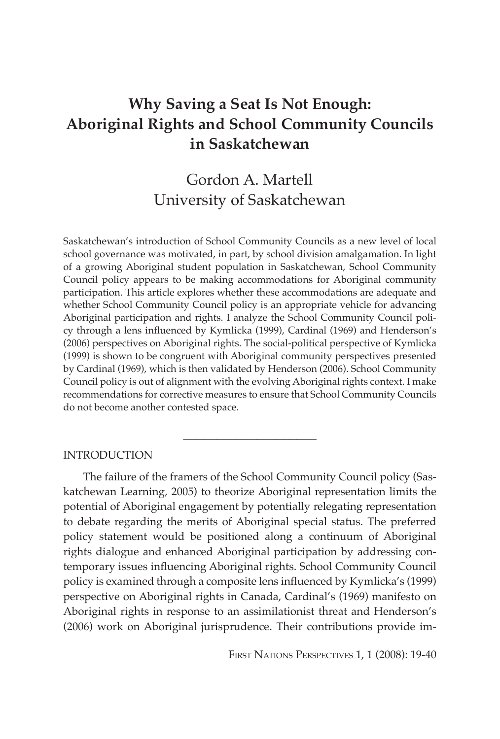# **Why Saving a Seat Is Not Enough: Aboriginal Rights and School Community Councils in Saskatchewan**

# Gordon A. Martell University of Saskatchewan

Saskatchewan's introduction of School Community Councils as a new level of local school governance was motivated, in part, by school division amalgamation. In light of a growing Aboriginal student population in Saskatchewan, School Community Council policy appears to be making accommodations for Aboriginal community participation. This article explores whether these accommodations are adequate and whether School Community Council policy is an appropriate vehicle for advancing Aboriginal participation and rights. I analyze the School Community Council policy through a lens influenced by Kymlicka (1999), Cardinal (1969) and Henderson's (2006) perspectives on Aboriginal rights. The social-political perspective of Kymlicka (1999) is shown to be congruent with Aboriginal community perspectives presented by Cardinal (1969), which is then validated by Henderson (2006). School Community Council policy is out of alignment with the evolving Aboriginal rights context. I make recommendations for corrective measures to ensure that School Community Councils do not become another contested space.

 $\overline{\phantom{a}}$  , which is a set of the set of the set of the set of the set of the set of the set of the set of the set of the set of the set of the set of the set of the set of the set of the set of the set of the set of th

## **INTRODUCTION**

The failure of the framers of the School Community Council policy (Saskatchewan Learning, 2005) to theorize Aboriginal representation limits the potential of Aboriginal engagement by potentially relegating representation to debate regarding the merits of Aboriginal special status. The preferred policy statement would be positioned along a continuum of Aboriginal rights dialogue and enhanced Aboriginal participation by addressing contemporary issues influencing Aboriginal rights. School Community Council policy is examined through a composite lens influenced by Kymlicka's (1999) perspective on Aboriginal rights in Canada, Cardinal's (1969) manifesto on Aboriginal rights in response to an assimilationist threat and Henderson's (2006) work on Aboriginal jurisprudence. Their contributions provide im-

First Nations Perspectives 1, 1 (2008): 19-40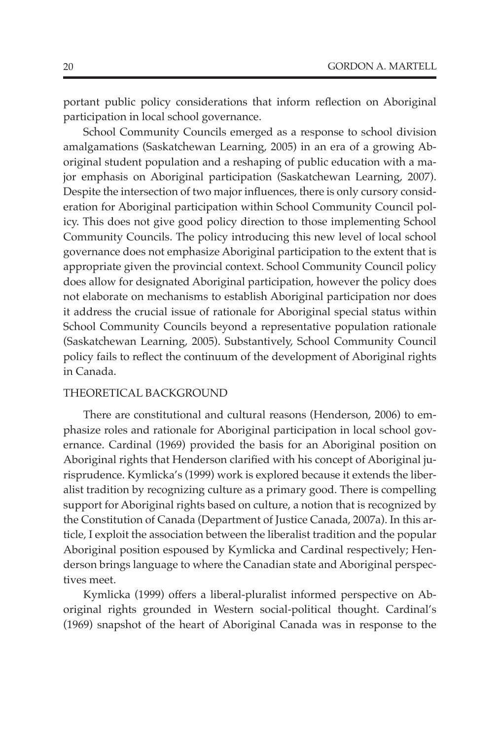portant public policy considerations that inform reflection on Aboriginal participation in local school governance.

School Community Councils emerged as a response to school division amalgamations (Saskatchewan Learning, 2005) in an era of a growing Aboriginal student population and a reshaping of public education with a major emphasis on Aboriginal participation (Saskatchewan Learning, 2007). Despite the intersection of two major influences, there is only cursory consideration for Aboriginal participation within School Community Council policy. This does not give good policy direction to those implementing School Community Councils. The policy introducing this new level of local school governance does not emphasize Aboriginal participation to the extent that is appropriate given the provincial context. School Community Council policy does allow for designated Aboriginal participation, however the policy does not elaborate on mechanisms to establish Aboriginal participation nor does it address the crucial issue of rationale for Aboriginal special status within School Community Councils beyond a representative population rationale (Saskatchewan Learning, 2005). Substantively, School Community Council policy fails to reflect the continuum of the development of Aboriginal rights in Canada.

## Theoretical Background

There are constitutional and cultural reasons (Henderson, 2006) to emphasize roles and rationale for Aboriginal participation in local school governance. Cardinal (1969) provided the basis for an Aboriginal position on Aboriginal rights that Henderson clarified with his concept of Aboriginal jurisprudence. Kymlicka's (1999) work is explored because it extends the liberalist tradition by recognizing culture as a primary good. There is compelling support for Aboriginal rights based on culture, a notion that is recognized by the Constitution of Canada (Department of Justice Canada, 2007a). In this article, I exploit the association between the liberalist tradition and the popular Aboriginal position espoused by Kymlicka and Cardinal respectively; Henderson brings language to where the Canadian state and Aboriginal perspectives meet.

Kymlicka (1999) offers a liberal-pluralist informed perspective on Aboriginal rights grounded in Western social-political thought. Cardinal's (1969) snapshot of the heart of Aboriginal Canada was in response to the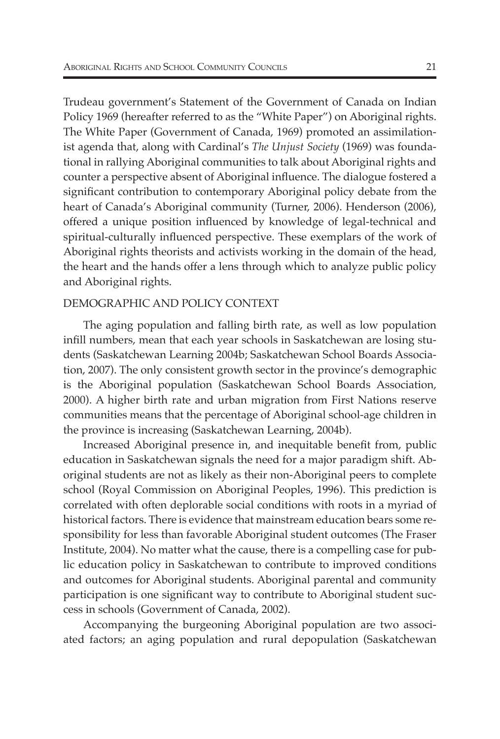Trudeau government's Statement of the Government of Canada on Indian Policy 1969 (hereafter referred to as the "White Paper") on Aboriginal rights. The White Paper (Government of Canada, 1969) promoted an assimilationist agenda that, along with Cardinal's *The Unjust Society* (1969) was foundational in rallying Aboriginal communities to talk about Aboriginal rights and counter a perspective absent of Aboriginal influence. The dialogue fostered a significant contribution to contemporary Aboriginal policy debate from the heart of Canada's Aboriginal community (Turner, 2006). Henderson (2006), offered a unique position influenced by knowledge of legal-technical and spiritual-culturally influenced perspective. These exemplars of the work of Aboriginal rights theorists and activists working in the domain of the head, the heart and the hands offer a lens through which to analyze public policy and Aboriginal rights.

## Demographic and Policy Context

The aging population and falling birth rate, as well as low population infill numbers, mean that each year schools in Saskatchewan are losing students (Saskatchewan Learning 2004b; Saskatchewan School Boards Association, 2007). The only consistent growth sector in the province's demographic is the Aboriginal population (Saskatchewan School Boards Association, 2000). A higher birth rate and urban migration from First Nations reserve communities means that the percentage of Aboriginal school-age children in the province is increasing (Saskatchewan Learning, 2004b).

Increased Aboriginal presence in, and inequitable benefit from, public education in Saskatchewan signals the need for a major paradigm shift. Aboriginal students are not as likely as their non-Aboriginal peers to complete school (Royal Commission on Aboriginal Peoples, 1996). This prediction is correlated with often deplorable social conditions with roots in a myriad of historical factors. There is evidence that mainstream education bears some responsibility for less than favorable Aboriginal student outcomes (The Fraser Institute, 2004). No matter what the cause, there is a compelling case for public education policy in Saskatchewan to contribute to improved conditions and outcomes for Aboriginal students. Aboriginal parental and community participation is one significant way to contribute to Aboriginal student success in schools (Government of Canada, 2002).

Accompanying the burgeoning Aboriginal population are two associated factors; an aging population and rural depopulation (Saskatchewan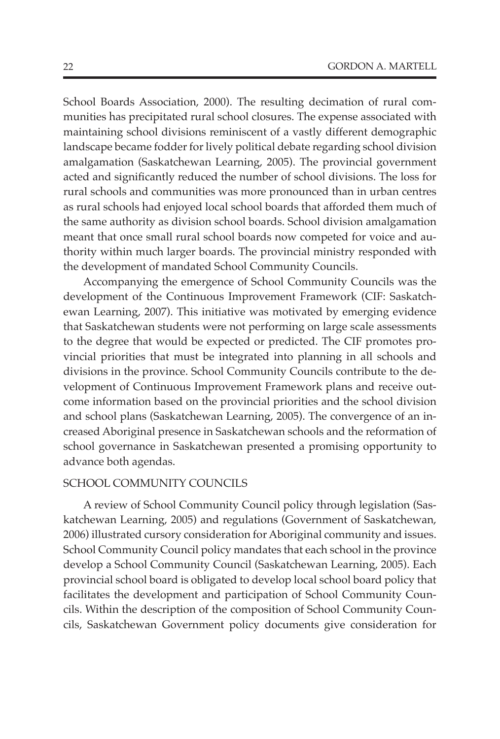School Boards Association, 2000). The resulting decimation of rural communities has precipitated rural school closures. The expense associated with maintaining school divisions reminiscent of a vastly different demographic landscape became fodder for lively political debate regarding school division amalgamation (Saskatchewan Learning, 2005). The provincial government acted and significantly reduced the number of school divisions. The loss for rural schools and communities was more pronounced than in urban centres as rural schools had enjoyed local school boards that afforded them much of the same authority as division school boards. School division amalgamation meant that once small rural school boards now competed for voice and authority within much larger boards. The provincial ministry responded with the development of mandated School Community Councils.

Accompanying the emergence of School Community Councils was the development of the Continuous Improvement Framework (CIF: Saskatchewan Learning, 2007). This initiative was motivated by emerging evidence that Saskatchewan students were not performing on large scale assessments to the degree that would be expected or predicted. The CIF promotes provincial priorities that must be integrated into planning in all schools and divisions in the province. School Community Councils contribute to the development of Continuous Improvement Framework plans and receive outcome information based on the provincial priorities and the school division and school plans (Saskatchewan Learning, 2005). The convergence of an increased Aboriginal presence in Saskatchewan schools and the reformation of school governance in Saskatchewan presented a promising opportunity to advance both agendas.

## School Community Councils

A review of School Community Council policy through legislation (Saskatchewan Learning, 2005) and regulations (Government of Saskatchewan, 2006) illustrated cursory consideration for Aboriginal community and issues. School Community Council policy mandates that each school in the province develop a School Community Council (Saskatchewan Learning, 2005). Each provincial school board is obligated to develop local school board policy that facilitates the development and participation of School Community Councils. Within the description of the composition of School Community Councils, Saskatchewan Government policy documents give consideration for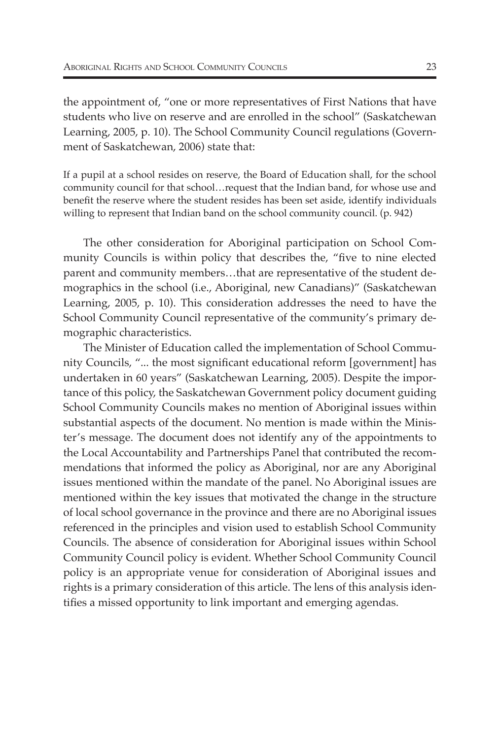the appointment of, "one or more representatives of First Nations that have students who live on reserve and are enrolled in the school" (Saskatchewan Learning, 2005, p. 10). The School Community Council regulations (Government of Saskatchewan, 2006) state that:

If a pupil at a school resides on reserve, the Board of Education shall, for the school community council for that school…request that the Indian band, for whose use and benefit the reserve where the student resides has been set aside, identify individuals willing to represent that Indian band on the school community council. (p. 942)

The other consideration for Aboriginal participation on School Community Councils is within policy that describes the, "five to nine elected parent and community members…that are representative of the student demographics in the school (i.e., Aboriginal, new Canadians)" (Saskatchewan Learning, 2005, p. 10). This consideration addresses the need to have the School Community Council representative of the community's primary demographic characteristics.

The Minister of Education called the implementation of School Community Councils, "... the most significant educational reform [government] has undertaken in 60 years" (Saskatchewan Learning, 2005). Despite the importance of this policy, the Saskatchewan Government policy document guiding School Community Councils makes no mention of Aboriginal issues within substantial aspects of the document. No mention is made within the Minister's message. The document does not identify any of the appointments to the Local Accountability and Partnerships Panel that contributed the recommendations that informed the policy as Aboriginal, nor are any Aboriginal issues mentioned within the mandate of the panel. No Aboriginal issues are mentioned within the key issues that motivated the change in the structure of local school governance in the province and there are no Aboriginal issues referenced in the principles and vision used to establish School Community Councils. The absence of consideration for Aboriginal issues within School Community Council policy is evident. Whether School Community Council policy is an appropriate venue for consideration of Aboriginal issues and rights is a primary consideration of this article. The lens of this analysis identifies a missed opportunity to link important and emerging agendas.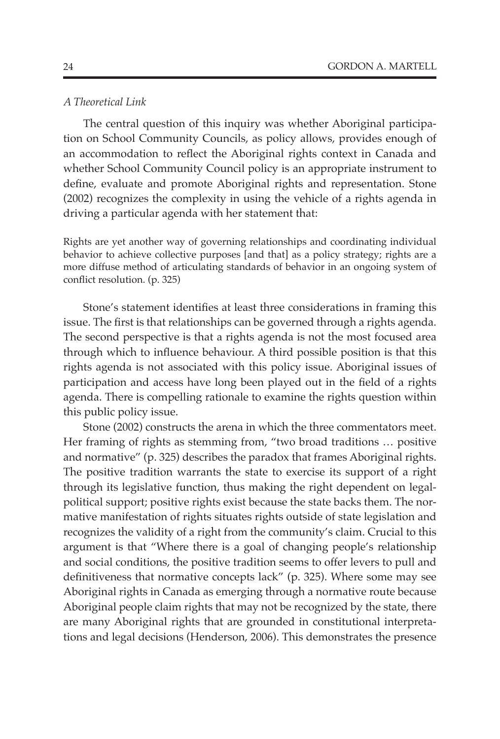## *A Theoretical Link*

The central question of this inquiry was whether Aboriginal participation on School Community Councils, as policy allows, provides enough of an accommodation to reflect the Aboriginal rights context in Canada and whether School Community Council policy is an appropriate instrument to define, evaluate and promote Aboriginal rights and representation. Stone (2002) recognizes the complexity in using the vehicle of a rights agenda in driving a particular agenda with her statement that:

Rights are yet another way of governing relationships and coordinating individual behavior to achieve collective purposes [and that] as a policy strategy; rights are a more diffuse method of articulating standards of behavior in an ongoing system of conflict resolution. (p. 325)

Stone's statement identifies at least three considerations in framing this issue. The first is that relationships can be governed through a rights agenda. The second perspective is that a rights agenda is not the most focused area through which to influence behaviour. A third possible position is that this rights agenda is not associated with this policy issue. Aboriginal issues of participation and access have long been played out in the field of a rights agenda. There is compelling rationale to examine the rights question within this public policy issue.

Stone (2002) constructs the arena in which the three commentators meet. Her framing of rights as stemming from, "two broad traditions … positive and normative" (p. 325) describes the paradox that frames Aboriginal rights. The positive tradition warrants the state to exercise its support of a right through its legislative function, thus making the right dependent on legalpolitical support; positive rights exist because the state backs them. The normative manifestation of rights situates rights outside of state legislation and recognizes the validity of a right from the community's claim. Crucial to this argument is that "Where there is a goal of changing people's relationship and social conditions, the positive tradition seems to offer levers to pull and definitiveness that normative concepts lack" (p. 325). Where some may see Aboriginal rights in Canada as emerging through a normative route because Aboriginal people claim rights that may not be recognized by the state, there are many Aboriginal rights that are grounded in constitutional interpretations and legal decisions (Henderson, 2006). This demonstrates the presence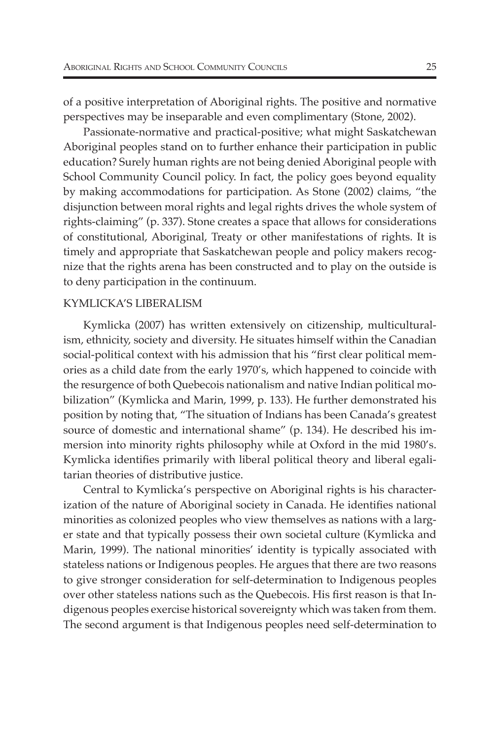of a positive interpretation of Aboriginal rights. The positive and normative perspectives may be inseparable and even complimentary (Stone, 2002).

Passionate-normative and practical-positive; what might Saskatchewan Aboriginal peoples stand on to further enhance their participation in public education? Surely human rights are not being denied Aboriginal people with School Community Council policy. In fact, the policy goes beyond equality by making accommodations for participation. As Stone (2002) claims, "the disjunction between moral rights and legal rights drives the whole system of rights-claiming" (p. 337). Stone creates a space that allows for considerations of constitutional, Aboriginal, Treaty or other manifestations of rights. It is timely and appropriate that Saskatchewan people and policy makers recognize that the rights arena has been constructed and to play on the outside is to deny participation in the continuum.

## Kymlicka's Liberalism

Kymlicka (2007) has written extensively on citizenship, multiculturalism, ethnicity, society and diversity. He situates himself within the Canadian social-political context with his admission that his "first clear political memories as a child date from the early 1970's, which happened to coincide with the resurgence of both Quebecois nationalism and native Indian political mobilization" (Kymlicka and Marin, 1999, p. 133). He further demonstrated his position by noting that, "The situation of Indians has been Canada's greatest source of domestic and international shame" (p. 134). He described his immersion into minority rights philosophy while at Oxford in the mid 1980's. Kymlicka identifies primarily with liberal political theory and liberal egalitarian theories of distributive justice.

Central to Kymlicka's perspective on Aboriginal rights is his characterization of the nature of Aboriginal society in Canada. He identifies national minorities as colonized peoples who view themselves as nations with a larger state and that typically possess their own societal culture (Kymlicka and Marin, 1999). The national minorities' identity is typically associated with stateless nations or Indigenous peoples. He argues that there are two reasons to give stronger consideration for self-determination to Indigenous peoples over other stateless nations such as the Quebecois. His first reason is that Indigenous peoples exercise historical sovereignty which was taken from them. The second argument is that Indigenous peoples need self-determination to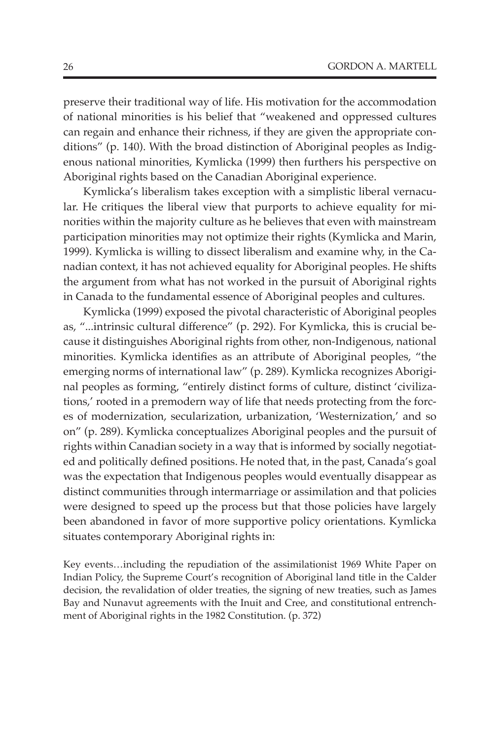preserve their traditional way of life. His motivation for the accommodation of national minorities is his belief that "weakened and oppressed cultures can regain and enhance their richness, if they are given the appropriate conditions" (p. 140). With the broad distinction of Aboriginal peoples as Indigenous national minorities, Kymlicka (1999) then furthers his perspective on Aboriginal rights based on the Canadian Aboriginal experience.

Kymlicka's liberalism takes exception with a simplistic liberal vernacular. He critiques the liberal view that purports to achieve equality for minorities within the majority culture as he believes that even with mainstream participation minorities may not optimize their rights (Kymlicka and Marin, 1999). Kymlicka is willing to dissect liberalism and examine why, in the Canadian context, it has not achieved equality for Aboriginal peoples. He shifts the argument from what has not worked in the pursuit of Aboriginal rights in Canada to the fundamental essence of Aboriginal peoples and cultures.

Kymlicka (1999) exposed the pivotal characteristic of Aboriginal peoples as, "...intrinsic cultural difference" (p. 292). For Kymlicka, this is crucial because it distinguishes Aboriginal rights from other, non-Indigenous, national minorities. Kymlicka identifies as an attribute of Aboriginal peoples, "the emerging norms of international law" (p. 289). Kymlicka recognizes Aboriginal peoples as forming, "entirely distinct forms of culture, distinct 'civilizations,' rooted in a premodern way of life that needs protecting from the forces of modernization, secularization, urbanization, 'Westernization,' and so on" (p. 289). Kymlicka conceptualizes Aboriginal peoples and the pursuit of rights within Canadian society in a way that is informed by socially negotiated and politically defined positions. He noted that, in the past, Canada's goal was the expectation that Indigenous peoples would eventually disappear as distinct communities through intermarriage or assimilation and that policies were designed to speed up the process but that those policies have largely been abandoned in favor of more supportive policy orientations. Kymlicka situates contemporary Aboriginal rights in:

Key events…including the repudiation of the assimilationist 1969 White Paper on Indian Policy, the Supreme Court's recognition of Aboriginal land title in the Calder decision, the revalidation of older treaties, the signing of new treaties, such as James Bay and Nunavut agreements with the Inuit and Cree, and constitutional entrenchment of Aboriginal rights in the 1982 Constitution. (p. 372)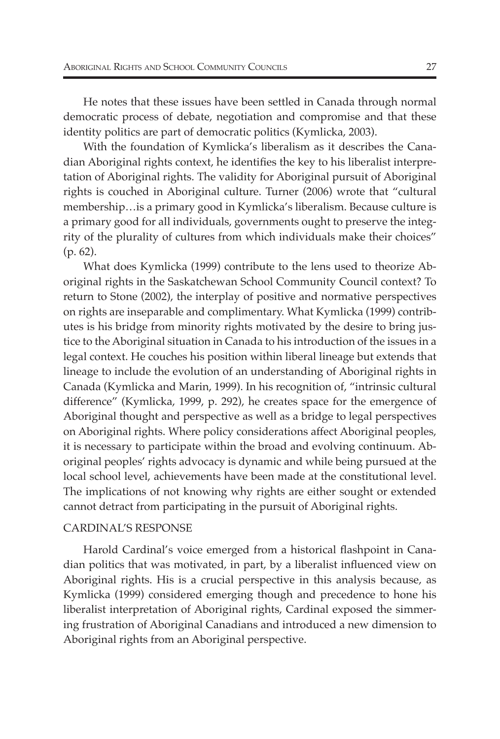He notes that these issues have been settled in Canada through normal democratic process of debate, negotiation and compromise and that these identity politics are part of democratic politics (Kymlicka, 2003).

With the foundation of Kymlicka's liberalism as it describes the Canadian Aboriginal rights context, he identifies the key to his liberalist interpretation of Aboriginal rights. The validity for Aboriginal pursuit of Aboriginal rights is couched in Aboriginal culture. Turner (2006) wrote that "cultural membership…is a primary good in Kymlicka's liberalism. Because culture is a primary good for all individuals, governments ought to preserve the integrity of the plurality of cultures from which individuals make their choices" (p. 62).

What does Kymlicka (1999) contribute to the lens used to theorize Aboriginal rights in the Saskatchewan School Community Council context? To return to Stone (2002), the interplay of positive and normative perspectives on rights are inseparable and complimentary. What Kymlicka (1999) contributes is his bridge from minority rights motivated by the desire to bring justice to the Aboriginal situation in Canada to his introduction of the issues in a legal context. He couches his position within liberal lineage but extends that lineage to include the evolution of an understanding of Aboriginal rights in Canada (Kymlicka and Marin, 1999). In his recognition of, "intrinsic cultural difference" (Kymlicka, 1999, p. 292), he creates space for the emergence of Aboriginal thought and perspective as well as a bridge to legal perspectives on Aboriginal rights. Where policy considerations affect Aboriginal peoples, it is necessary to participate within the broad and evolving continuum. Aboriginal peoples' rights advocacy is dynamic and while being pursued at the local school level, achievements have been made at the constitutional level. The implications of not knowing why rights are either sought or extended cannot detract from participating in the pursuit of Aboriginal rights.

#### Cardinal's Response

Harold Cardinal's voice emerged from a historical flashpoint in Canadian politics that was motivated, in part, by a liberalist influenced view on Aboriginal rights. His is a crucial perspective in this analysis because, as Kymlicka (1999) considered emerging though and precedence to hone his liberalist interpretation of Aboriginal rights, Cardinal exposed the simmering frustration of Aboriginal Canadians and introduced a new dimension to Aboriginal rights from an Aboriginal perspective.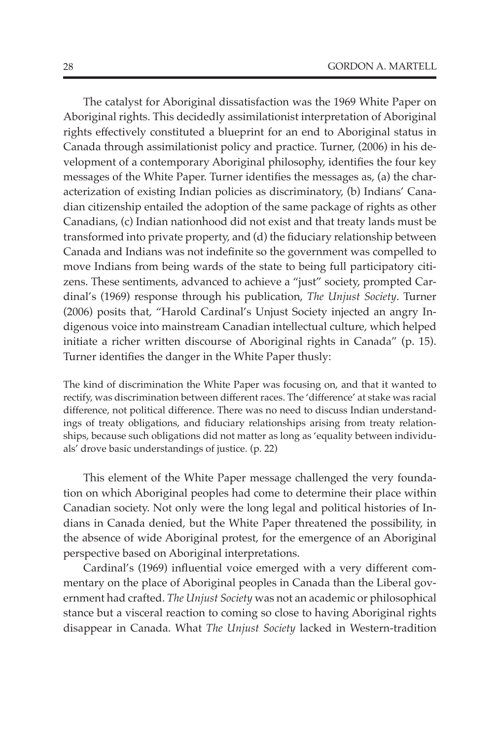The catalyst for Aboriginal dissatisfaction was the 1969 White Paper on Aboriginal rights. This decidedly assimilationist interpretation of Aboriginal rights effectively constituted a blueprint for an end to Aboriginal status in Canada through assimilationist policy and practice. Turner, (2006) in his development of a contemporary Aboriginal philosophy, identifies the four key messages of the White Paper. Turner identifies the messages as, (a) the characterization of existing Indian policies as discriminatory, (b) Indians' Canadian citizenship entailed the adoption of the same package of rights as other Canadians, (c) Indian nationhood did not exist and that treaty lands must be transformed into private property, and (d) the fiduciary relationship between Canada and Indians was not indefinite so the government was compelled to move Indians from being wards of the state to being full participatory citizens. These sentiments, advanced to achieve a "just" society, prompted Cardinal's (1969) response through his publication, *The Unjust Society*. Turner (2006) posits that, "Harold Cardinal's Unjust Society injected an angry Indigenous voice into mainstream Canadian intellectual culture, which helped initiate a richer written discourse of Aboriginal rights in Canada" (p. 15). Turner identifies the danger in the White Paper thusly:

The kind of discrimination the White Paper was focusing on, and that it wanted to rectify, was discrimination between different races. The 'difference' at stake was racial difference, not political difference. There was no need to discuss Indian understandings of treaty obligations, and fiduciary relationships arising from treaty relationships, because such obligations did not matter as long as 'equality between individuals' drove basic understandings of justice. (p. 22)

This element of the White Paper message challenged the very foundation on which Aboriginal peoples had come to determine their place within Canadian society. Not only were the long legal and political histories of Indians in Canada denied, but the White Paper threatened the possibility, in the absence of wide Aboriginal protest, for the emergence of an Aboriginal perspective based on Aboriginal interpretations.

Cardinal's (1969) influential voice emerged with a very different commentary on the place of Aboriginal peoples in Canada than the Liberal government had crafted. *The Unjust Society* was not an academic or philosophical stance but a visceral reaction to coming so close to having Aboriginal rights disappear in Canada. What *The Unjust Society* lacked in Western-tradition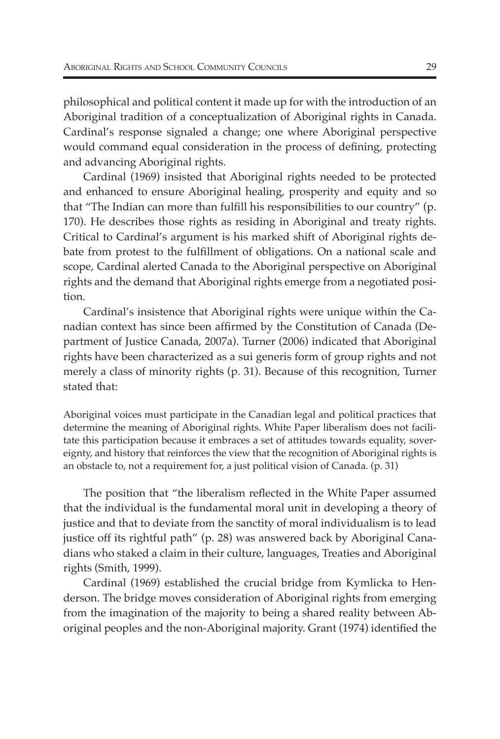philosophical and political content it made up for with the introduction of an Aboriginal tradition of a conceptualization of Aboriginal rights in Canada. Cardinal's response signaled a change; one where Aboriginal perspective would command equal consideration in the process of defining, protecting and advancing Aboriginal rights.

Cardinal (1969) insisted that Aboriginal rights needed to be protected and enhanced to ensure Aboriginal healing, prosperity and equity and so that "The Indian can more than fulfill his responsibilities to our country" (p. 170). He describes those rights as residing in Aboriginal and treaty rights. Critical to Cardinal's argument is his marked shift of Aboriginal rights debate from protest to the fulfillment of obligations. On a national scale and scope, Cardinal alerted Canada to the Aboriginal perspective on Aboriginal rights and the demand that Aboriginal rights emerge from a negotiated position.

Cardinal's insistence that Aboriginal rights were unique within the Canadian context has since been affirmed by the Constitution of Canada (Department of Justice Canada, 2007a). Turner (2006) indicated that Aboriginal rights have been characterized as a sui generis form of group rights and not merely a class of minority rights (p. 31). Because of this recognition, Turner stated that:

Aboriginal voices must participate in the Canadian legal and political practices that determine the meaning of Aboriginal rights. White Paper liberalism does not facilitate this participation because it embraces a set of attitudes towards equality, sovereignty, and history that reinforces the view that the recognition of Aboriginal rights is an obstacle to, not a requirement for, a just political vision of Canada. (p. 31)

The position that "the liberalism reflected in the White Paper assumed that the individual is the fundamental moral unit in developing a theory of justice and that to deviate from the sanctity of moral individualism is to lead justice off its rightful path" (p. 28) was answered back by Aboriginal Canadians who staked a claim in their culture, languages, Treaties and Aboriginal rights (Smith, 1999).

Cardinal (1969) established the crucial bridge from Kymlicka to Henderson. The bridge moves consideration of Aboriginal rights from emerging from the imagination of the majority to being a shared reality between Aboriginal peoples and the non-Aboriginal majority. Grant (1974) identified the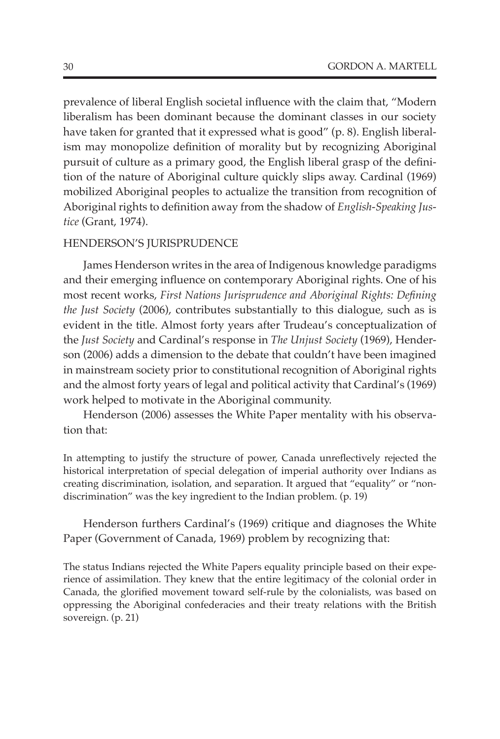prevalence of liberal English societal influence with the claim that, "Modern liberalism has been dominant because the dominant classes in our society have taken for granted that it expressed what is good" (p. 8). English liberalism may monopolize definition of morality but by recognizing Aboriginal pursuit of culture as a primary good, the English liberal grasp of the definition of the nature of Aboriginal culture quickly slips away. Cardinal (1969) mobilized Aboriginal peoples to actualize the transition from recognition of Aboriginal rights to definition away from the shadow of *English-Speaking Justice* (Grant, 1974).

#### Henderson's Jurisprudence

James Henderson writes in the area of Indigenous knowledge paradigms and their emerging influence on contemporary Aboriginal rights. One of his most recent works, *First Nations Jurisprudence and Aboriginal Rights: Defining the Just Society* (2006), contributes substantially to this dialogue, such as is evident in the title. Almost forty years after Trudeau's conceptualization of the *Just Society* and Cardinal's response in *The Unjust Society* (1969), Henderson (2006) adds a dimension to the debate that couldn't have been imagined in mainstream society prior to constitutional recognition of Aboriginal rights and the almost forty years of legal and political activity that Cardinal's (1969) work helped to motivate in the Aboriginal community.

Henderson (2006) assesses the White Paper mentality with his observation that:

In attempting to justify the structure of power, Canada unreflectively rejected the historical interpretation of special delegation of imperial authority over Indians as creating discrimination, isolation, and separation. It argued that "equality" or "nondiscrimination" was the key ingredient to the Indian problem. (p. 19)

Henderson furthers Cardinal's (1969) critique and diagnoses the White Paper (Government of Canada, 1969) problem by recognizing that:

The status Indians rejected the White Papers equality principle based on their experience of assimilation. They knew that the entire legitimacy of the colonial order in Canada, the glorified movement toward self-rule by the colonialists, was based on oppressing the Aboriginal confederacies and their treaty relations with the British sovereign. (p. 21)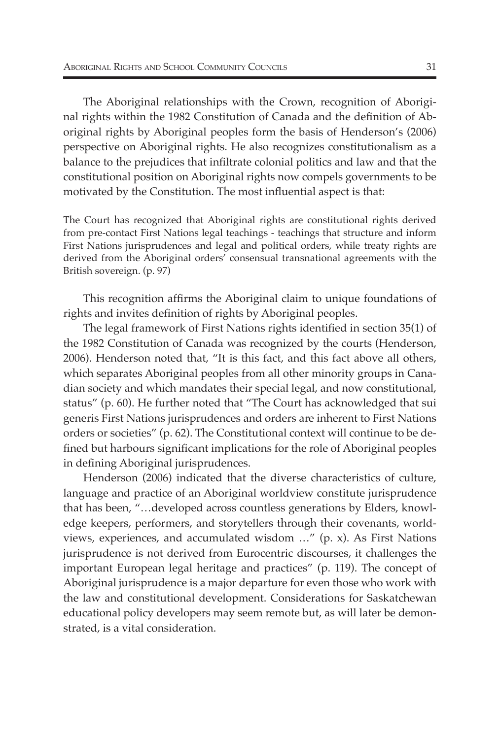The Aboriginal relationships with the Crown, recognition of Aboriginal rights within the 1982 Constitution of Canada and the definition of Aboriginal rights by Aboriginal peoples form the basis of Henderson's (2006) perspective on Aboriginal rights. He also recognizes constitutionalism as a balance to the prejudices that infiltrate colonial politics and law and that the constitutional position on Aboriginal rights now compels governments to be motivated by the Constitution. The most influential aspect is that:

The Court has recognized that Aboriginal rights are constitutional rights derived from pre-contact First Nations legal teachings - teachings that structure and inform First Nations jurisprudences and legal and political orders, while treaty rights are derived from the Aboriginal orders' consensual transnational agreements with the British sovereign. (p. 97)

This recognition affirms the Aboriginal claim to unique foundations of rights and invites definition of rights by Aboriginal peoples.

The legal framework of First Nations rights identified in section 35(1) of the 1982 Constitution of Canada was recognized by the courts (Henderson, 2006). Henderson noted that, "It is this fact, and this fact above all others, which separates Aboriginal peoples from all other minority groups in Canadian society and which mandates their special legal, and now constitutional, status" (p. 60). He further noted that "The Court has acknowledged that sui generis First Nations jurisprudences and orders are inherent to First Nations orders or societies" (p. 62). The Constitutional context will continue to be defined but harbours significant implications for the role of Aboriginal peoples in defining Aboriginal jurisprudences.

Henderson (2006) indicated that the diverse characteristics of culture, language and practice of an Aboriginal worldview constitute jurisprudence that has been, "…developed across countless generations by Elders, knowledge keepers, performers, and storytellers through their covenants, worldviews, experiences, and accumulated wisdom …" (p. x). As First Nations jurisprudence is not derived from Eurocentric discourses, it challenges the important European legal heritage and practices" (p. 119). The concept of Aboriginal jurisprudence is a major departure for even those who work with the law and constitutional development. Considerations for Saskatchewan educational policy developers may seem remote but, as will later be demonstrated, is a vital consideration.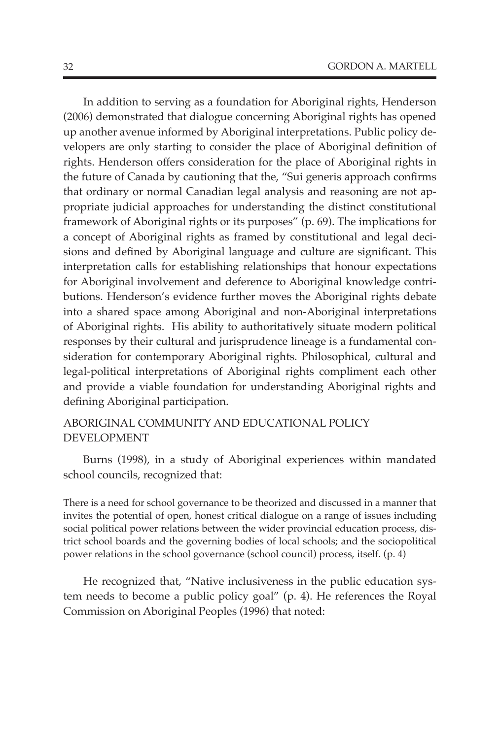In addition to serving as a foundation for Aboriginal rights, Henderson (2006) demonstrated that dialogue concerning Aboriginal rights has opened up another avenue informed by Aboriginal interpretations. Public policy developers are only starting to consider the place of Aboriginal definition of rights. Henderson offers consideration for the place of Aboriginal rights in the future of Canada by cautioning that the, "Sui generis approach confirms that ordinary or normal Canadian legal analysis and reasoning are not appropriate judicial approaches for understanding the distinct constitutional framework of Aboriginal rights or its purposes" (p. 69). The implications for a concept of Aboriginal rights as framed by constitutional and legal decisions and defined by Aboriginal language and culture are significant. This interpretation calls for establishing relationships that honour expectations for Aboriginal involvement and deference to Aboriginal knowledge contributions. Henderson's evidence further moves the Aboriginal rights debate into a shared space among Aboriginal and non-Aboriginal interpretations of Aboriginal rights. His ability to authoritatively situate modern political responses by their cultural and jurisprudence lineage is a fundamental consideration for contemporary Aboriginal rights. Philosophical, cultural and legal-political interpretations of Aboriginal rights compliment each other and provide a viable foundation for understanding Aboriginal rights and defining Aboriginal participation.

# Aboriginal Community and Educational Policy **DEVELOPMENT**

Burns (1998), in a study of Aboriginal experiences within mandated school councils, recognized that:

There is a need for school governance to be theorized and discussed in a manner that invites the potential of open, honest critical dialogue on a range of issues including social political power relations between the wider provincial education process, district school boards and the governing bodies of local schools; and the sociopolitical power relations in the school governance (school council) process, itself. (p. 4)

He recognized that, "Native inclusiveness in the public education system needs to become a public policy goal" (p. 4). He references the Royal Commission on Aboriginal Peoples (1996) that noted: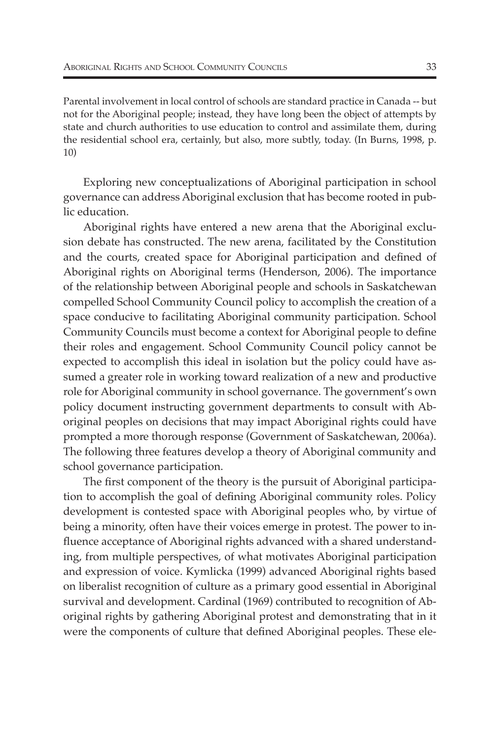Parental involvement in local control of schools are standard practice in Canada -- but not for the Aboriginal people; instead, they have long been the object of attempts by state and church authorities to use education to control and assimilate them, during the residential school era, certainly, but also, more subtly, today. (In Burns, 1998, p. 10)

Exploring new conceptualizations of Aboriginal participation in school governance can address Aboriginal exclusion that has become rooted in public education.

Aboriginal rights have entered a new arena that the Aboriginal exclusion debate has constructed. The new arena, facilitated by the Constitution and the courts, created space for Aboriginal participation and defined of Aboriginal rights on Aboriginal terms (Henderson, 2006). The importance of the relationship between Aboriginal people and schools in Saskatchewan compelled School Community Council policy to accomplish the creation of a space conducive to facilitating Aboriginal community participation. School Community Councils must become a context for Aboriginal people to define their roles and engagement. School Community Council policy cannot be expected to accomplish this ideal in isolation but the policy could have assumed a greater role in working toward realization of a new and productive role for Aboriginal community in school governance. The government's own policy document instructing government departments to consult with Aboriginal peoples on decisions that may impact Aboriginal rights could have prompted a more thorough response (Government of Saskatchewan, 2006a). The following three features develop a theory of Aboriginal community and school governance participation.

The first component of the theory is the pursuit of Aboriginal participation to accomplish the goal of defining Aboriginal community roles. Policy development is contested space with Aboriginal peoples who, by virtue of being a minority, often have their voices emerge in protest. The power to influence acceptance of Aboriginal rights advanced with a shared understanding, from multiple perspectives, of what motivates Aboriginal participation and expression of voice. Kymlicka (1999) advanced Aboriginal rights based on liberalist recognition of culture as a primary good essential in Aboriginal survival and development. Cardinal (1969) contributed to recognition of Aboriginal rights by gathering Aboriginal protest and demonstrating that in it were the components of culture that defined Aboriginal peoples. These ele-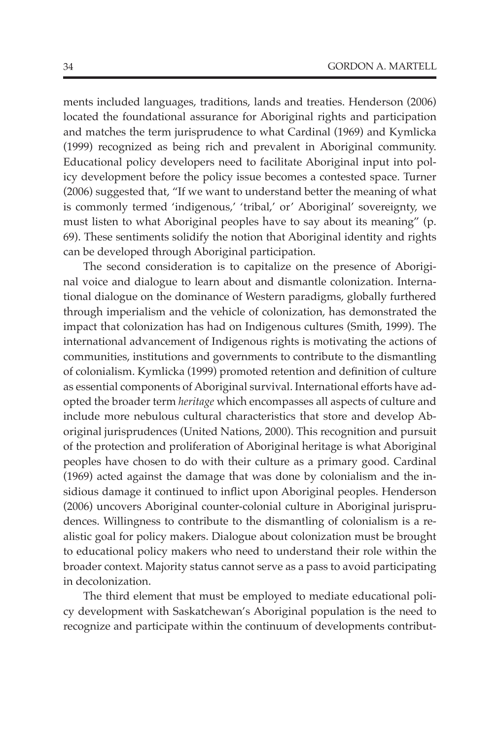ments included languages, traditions, lands and treaties. Henderson (2006) located the foundational assurance for Aboriginal rights and participation and matches the term jurisprudence to what Cardinal (1969) and Kymlicka (1999) recognized as being rich and prevalent in Aboriginal community. Educational policy developers need to facilitate Aboriginal input into policy development before the policy issue becomes a contested space. Turner (2006) suggested that, "If we want to understand better the meaning of what is commonly termed 'indigenous,' 'tribal,' or' Aboriginal' sovereignty, we must listen to what Aboriginal peoples have to say about its meaning" (p. 69). These sentiments solidify the notion that Aboriginal identity and rights can be developed through Aboriginal participation.

The second consideration is to capitalize on the presence of Aboriginal voice and dialogue to learn about and dismantle colonization. International dialogue on the dominance of Western paradigms, globally furthered through imperialism and the vehicle of colonization, has demonstrated the impact that colonization has had on Indigenous cultures (Smith, 1999). The international advancement of Indigenous rights is motivating the actions of communities, institutions and governments to contribute to the dismantling of colonialism. Kymlicka (1999) promoted retention and definition of culture as essential components of Aboriginal survival. International efforts have adopted the broader term *heritage* which encompasses all aspects of culture and include more nebulous cultural characteristics that store and develop Aboriginal jurisprudences (United Nations, 2000). This recognition and pursuit of the protection and proliferation of Aboriginal heritage is what Aboriginal peoples have chosen to do with their culture as a primary good. Cardinal (1969) acted against the damage that was done by colonialism and the insidious damage it continued to inflict upon Aboriginal peoples. Henderson (2006) uncovers Aboriginal counter-colonial culture in Aboriginal jurisprudences. Willingness to contribute to the dismantling of colonialism is a realistic goal for policy makers. Dialogue about colonization must be brought to educational policy makers who need to understand their role within the broader context. Majority status cannot serve as a pass to avoid participating in decolonization.

The third element that must be employed to mediate educational policy development with Saskatchewan's Aboriginal population is the need to recognize and participate within the continuum of developments contribut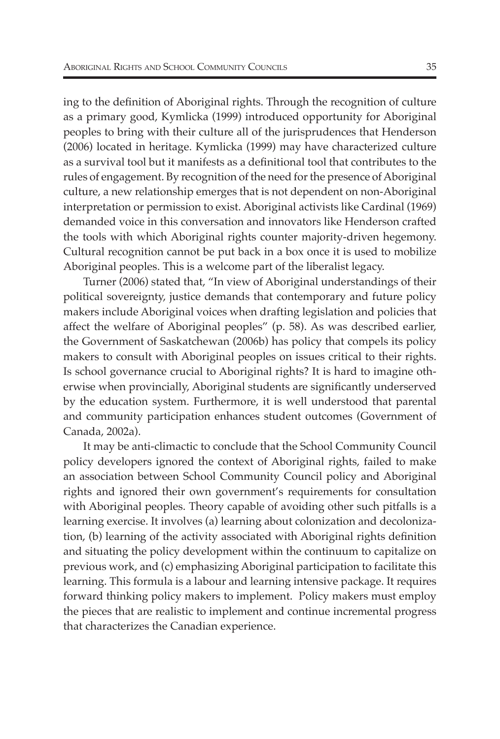ing to the definition of Aboriginal rights. Through the recognition of culture as a primary good, Kymlicka (1999) introduced opportunity for Aboriginal peoples to bring with their culture all of the jurisprudences that Henderson (2006) located in heritage. Kymlicka (1999) may have characterized culture as a survival tool but it manifests as a definitional tool that contributes to the rules of engagement. By recognition of the need for the presence of Aboriginal culture, a new relationship emerges that is not dependent on non-Aboriginal interpretation or permission to exist. Aboriginal activists like Cardinal (1969) demanded voice in this conversation and innovators like Henderson crafted the tools with which Aboriginal rights counter majority-driven hegemony. Cultural recognition cannot be put back in a box once it is used to mobilize Aboriginal peoples. This is a welcome part of the liberalist legacy.

Turner (2006) stated that, "In view of Aboriginal understandings of their political sovereignty, justice demands that contemporary and future policy makers include Aboriginal voices when drafting legislation and policies that affect the welfare of Aboriginal peoples" (p. 58). As was described earlier, the Government of Saskatchewan (2006b) has policy that compels its policy makers to consult with Aboriginal peoples on issues critical to their rights. Is school governance crucial to Aboriginal rights? It is hard to imagine otherwise when provincially, Aboriginal students are significantly underserved by the education system. Furthermore, it is well understood that parental and community participation enhances student outcomes (Government of Canada, 2002a).

It may be anti-climactic to conclude that the School Community Council policy developers ignored the context of Aboriginal rights, failed to make an association between School Community Council policy and Aboriginal rights and ignored their own government's requirements for consultation with Aboriginal peoples. Theory capable of avoiding other such pitfalls is a learning exercise. It involves (a) learning about colonization and decolonization, (b) learning of the activity associated with Aboriginal rights definition and situating the policy development within the continuum to capitalize on previous work, and (c) emphasizing Aboriginal participation to facilitate this learning. This formula is a labour and learning intensive package. It requires forward thinking policy makers to implement. Policy makers must employ the pieces that are realistic to implement and continue incremental progress that characterizes the Canadian experience.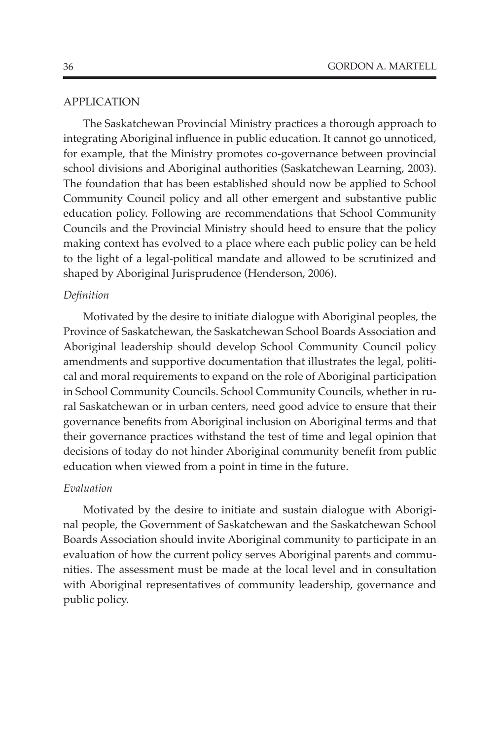## **APPLICATION**

The Saskatchewan Provincial Ministry practices a thorough approach to integrating Aboriginal influence in public education. It cannot go unnoticed, for example, that the Ministry promotes co-governance between provincial school divisions and Aboriginal authorities (Saskatchewan Learning, 2003). The foundation that has been established should now be applied to School Community Council policy and all other emergent and substantive public education policy. Following are recommendations that School Community Councils and the Provincial Ministry should heed to ensure that the policy making context has evolved to a place where each public policy can be held to the light of a legal-political mandate and allowed to be scrutinized and shaped by Aboriginal Jurisprudence (Henderson, 2006).

#### *Definition*

Motivated by the desire to initiate dialogue with Aboriginal peoples, the Province of Saskatchewan, the Saskatchewan School Boards Association and Aboriginal leadership should develop School Community Council policy amendments and supportive documentation that illustrates the legal, political and moral requirements to expand on the role of Aboriginal participation in School Community Councils. School Community Councils, whether in rural Saskatchewan or in urban centers, need good advice to ensure that their governance benefits from Aboriginal inclusion on Aboriginal terms and that their governance practices withstand the test of time and legal opinion that decisions of today do not hinder Aboriginal community benefit from public education when viewed from a point in time in the future.

#### *Evaluation*

Motivated by the desire to initiate and sustain dialogue with Aboriginal people, the Government of Saskatchewan and the Saskatchewan School Boards Association should invite Aboriginal community to participate in an evaluation of how the current policy serves Aboriginal parents and communities. The assessment must be made at the local level and in consultation with Aboriginal representatives of community leadership, governance and public policy.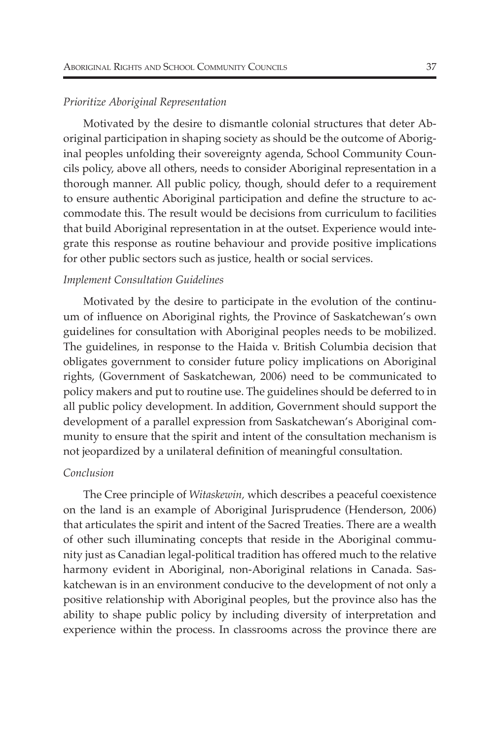#### *Prioritize Aboriginal Representation*

Motivated by the desire to dismantle colonial structures that deter Aboriginal participation in shaping society as should be the outcome of Aboriginal peoples unfolding their sovereignty agenda, School Community Councils policy, above all others, needs to consider Aboriginal representation in a thorough manner. All public policy, though, should defer to a requirement to ensure authentic Aboriginal participation and define the structure to accommodate this. The result would be decisions from curriculum to facilities that build Aboriginal representation in at the outset. Experience would integrate this response as routine behaviour and provide positive implications for other public sectors such as justice, health or social services.

#### *Implement Consultation Guidelines*

Motivated by the desire to participate in the evolution of the continuum of influence on Aboriginal rights, the Province of Saskatchewan's own guidelines for consultation with Aboriginal peoples needs to be mobilized. The guidelines, in response to the Haida v. British Columbia decision that obligates government to consider future policy implications on Aboriginal rights, (Government of Saskatchewan, 2006) need to be communicated to policy makers and put to routine use. The guidelines should be deferred to in all public policy development. In addition, Government should support the development of a parallel expression from Saskatchewan's Aboriginal community to ensure that the spirit and intent of the consultation mechanism is not jeopardized by a unilateral definition of meaningful consultation.

#### *Conclusion*

The Cree principle of *Witaskewin,* which describes a peaceful coexistence on the land is an example of Aboriginal Jurisprudence (Henderson, 2006) that articulates the spirit and intent of the Sacred Treaties. There are a wealth of other such illuminating concepts that reside in the Aboriginal community just as Canadian legal-political tradition has offered much to the relative harmony evident in Aboriginal, non-Aboriginal relations in Canada. Saskatchewan is in an environment conducive to the development of not only a positive relationship with Aboriginal peoples, but the province also has the ability to shape public policy by including diversity of interpretation and experience within the process. In classrooms across the province there are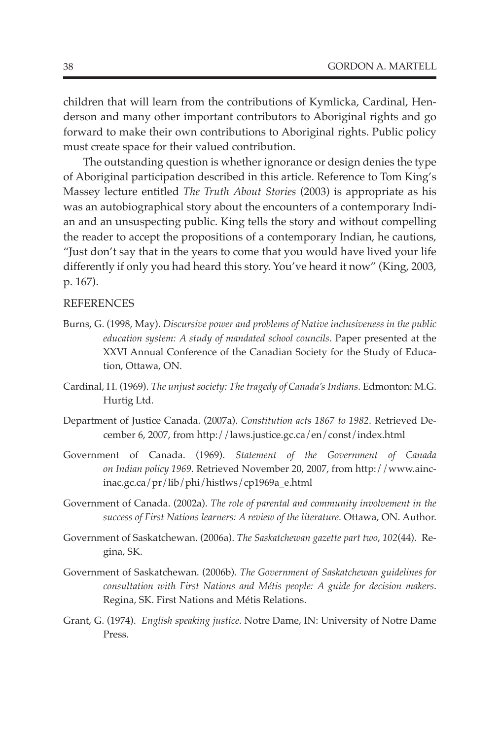children that will learn from the contributions of Kymlicka, Cardinal, Henderson and many other important contributors to Aboriginal rights and go forward to make their own contributions to Aboriginal rights. Public policy must create space for their valued contribution.

The outstanding question is whether ignorance or design denies the type of Aboriginal participation described in this article. Reference to Tom King's Massey lecture entitled *The Truth About Stories* (2003) is appropriate as his was an autobiographical story about the encounters of a contemporary Indian and an unsuspecting public. King tells the story and without compelling the reader to accept the propositions of a contemporary Indian, he cautions, "Just don't say that in the years to come that you would have lived your life differently if only you had heard this story. You've heard it now" (King, 2003, p. 167).

#### **REFERENCES**

- Burns, G. (1998, May). *Discursive power and problems of Native inclusiveness in the public education system: A study of mandated school councils*. Paper presented at the XXVI Annual Conference of the Canadian Society for the Study of Education, Ottawa, ON.
- Cardinal, H. (1969). *The unjust society: The tragedy of Canada's Indians*. Edmonton: M.G. Hurtig Ltd.
- Department of Justice Canada. (2007a). *Constitution acts 1867 to 1982*. Retrieved December 6, 2007, from http://laws.justice.gc.ca/en/const/index.html
- Government of Canada. (1969). *Statement of the Government of Canada on Indian policy 1969*. Retrieved November 20, 2007, from http://www.aincinac.gc.ca/pr/lib/phi/histlws/cp1969a\_e.html
- Government of Canada. (2002a). *The role of parental and community involvement in the success of First Nations learners: A review of the literature.* Ottawa, ON. Author.
- Government of Saskatchewan. (2006a). *The Saskatchewan gazette part two*, *102*(44). Regina, SK.
- Government of Saskatchewan. (2006b). *The Government of Saskatchewan guidelines for consultation with First Nations and Métis people: A guide for decision makers*. Regina, SK. First Nations and Métis Relations.
- Grant, G. (1974). *English speaking justice*. Notre Dame, IN: University of Notre Dame Press.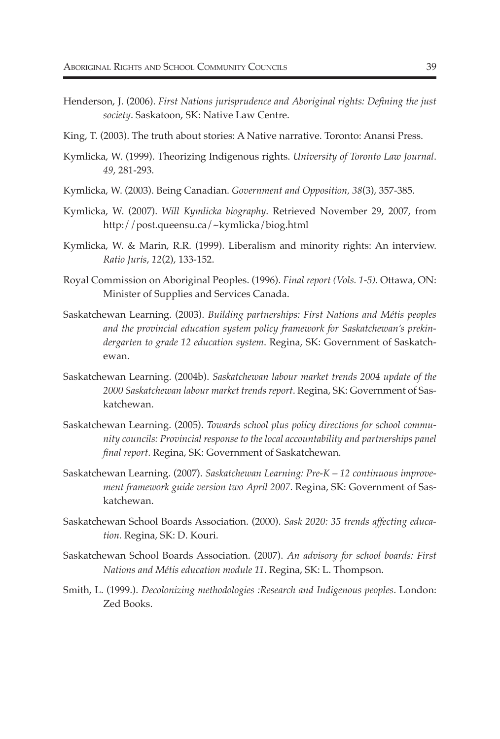- Henderson, J. (2006). *First Nations jurisprudence and Aboriginal rights: Defining the just society*. Saskatoon, SK: Native Law Centre.
- King, T. (2003). The truth about stories: A Native narrative. Toronto: Anansi Press.
- Kymlicka, W. (1999). Theorizing Indigenous rights. *University of Toronto Law Journal*. *49*, 281-293.
- Kymlicka, W. (2003). Being Canadian. *Government and Opposition, 38*(3), 357-385.
- Kymlicka, W. (2007). *Will Kymlicka biography*. Retrieved November 29, 2007, from http://post.queensu.ca/~kymlicka/biog.html
- Kymlicka, W. & Marin, R.R. (1999). Liberalism and minority rights: An interview. *Ratio Juris*, *12*(2), 133-152.
- Royal Commission on Aboriginal Peoples. (1996). *Final report (Vols. 1-5)*. Ottawa, ON: Minister of Supplies and Services Canada.
- Saskatchewan Learning. (2003). *Building partnerships: First Nations and Métis peoples and the provincial education system policy framework for Saskatchewan's prekindergarten to grade 12 education system*. Regina, SK: Government of Saskatchewan.
- Saskatchewan Learning. (2004b). *Saskatchewan labour market trends 2004 update of the 2000 Saskatchewan labour market trends report*. Regina, SK: Government of Saskatchewan.
- Saskatchewan Learning. (2005). *Towards school plus policy directions for school community councils: Provincial response to the local accountability and partnerships panel final report*. Regina, SK: Government of Saskatchewan.
- Saskatchewan Learning. (2007). *Saskatchewan Learning: Pre-K 12 continuous improvement framework guide version two April 2007*. Regina, SK: Government of Saskatchewan.
- Saskatchewan School Boards Association. (2000). *Sask 2020: 35 trends affecting education.* Regina, SK: D. Kouri.
- Saskatchewan School Boards Association. (2007). *An advisory for school boards: First Nations and Métis education module 11*. Regina, SK: L. Thompson.
- Smith, L. (1999.). *Decolonizing methodologies :Research and Indigenous peoples*. London: Zed Books.